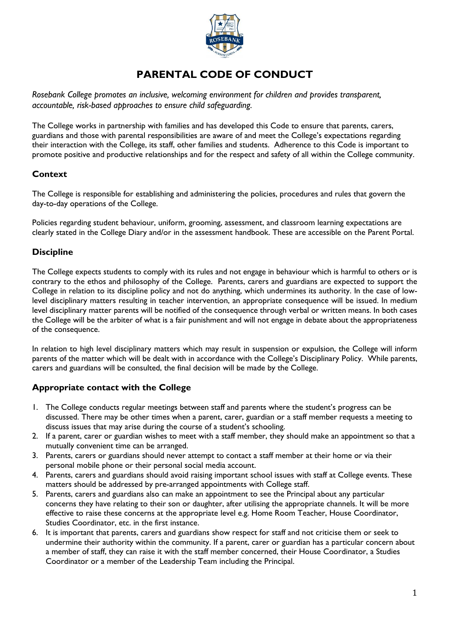

# **PARENTAL CODE OF CONDUCT**

*Rosebank College promotes an inclusive, welcoming environment for children and provides transparent, accountable, risk-based approaches to ensure child safeguarding.*

The College works in partnership with families and has developed this Code to ensure that parents, carers, guardians and those with parental responsibilities are aware of and meet the College's expectations regarding their interaction with the College, its staff, other families and students. Adherence to this Code is important to promote positive and productive relationships and for the respect and safety of all within the College community.

#### **Context**

The College is responsible for establishing and administering the policies, procedures and rules that govern the day-to-day operations of the College.

Policies regarding student behaviour, uniform, grooming, assessment, and classroom learning expectations are clearly stated in the College Diary and/or in the assessment handbook. These are accessible on the Parent Portal.

### **Discipline**

The College expects students to comply with its rules and not engage in behaviour which is harmful to others or is contrary to the ethos and philosophy of the College. Parents, carers and guardians are expected to support the College in relation to its discipline policy and not do anything, which undermines its authority. In the case of lowlevel disciplinary matters resulting in teacher intervention, an appropriate consequence will be issued. In medium level disciplinary matter parents will be notified of the consequence through verbal or written means. In both cases the College will be the arbiter of what is a fair punishment and will not engage in debate about the appropriateness of the consequence.

In relation to high level disciplinary matters which may result in suspension or expulsion, the College will inform parents of the matter which will be dealt with in accordance with the College's Disciplinary Policy. While parents, carers and guardians will be consulted, the final decision will be made by the College.

#### **Appropriate contact with the College**

- 1. The College conducts regular meetings between staff and parents where the student's progress can be discussed. There may be other times when a parent, carer, guardian or a staff member requests a meeting to discuss issues that may arise during the course of a student's schooling.
- 2. If a parent, carer or guardian wishes to meet with a staff member, they should make an appointment so that a mutually convenient time can be arranged.
- 3. Parents, carers or guardians should never attempt to contact a staff member at their home or via their personal mobile phone or their personal social media account.
- 4. Parents, carers and guardians should avoid raising important school issues with staff at College events. These matters should be addressed by pre-arranged appointments with College staff.
- 5. Parents, carers and guardians also can make an appointment to see the Principal about any particular concerns they have relating to their son or daughter, after utilising the appropriate channels. It will be more effective to raise these concerns at the appropriate level e.g. Home Room Teacher, House Coordinator, Studies Coordinator, etc. in the first instance.
- 6. It is important that parents, carers and guardians show respect for staff and not criticise them or seek to undermine their authority within the community. If a parent, carer or guardian has a particular concern about a member of staff, they can raise it with the staff member concerned, their House Coordinator, a Studies Coordinator or a member of the Leadership Team including the Principal.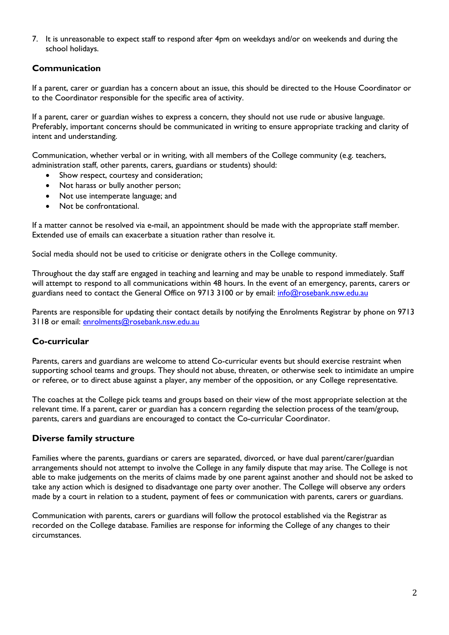7. It is unreasonable to expect staff to respond after 4pm on weekdays and/or on weekends and during the school holidays.

#### **Communication**

If a parent, carer or guardian has a concern about an issue, this should be directed to the House Coordinator or to the Coordinator responsible for the specific area of activity.

If a parent, carer or guardian wishes to express a concern, they should not use rude or abusive language. Preferably, important concerns should be communicated in writing to ensure appropriate tracking and clarity of intent and understanding.

Communication, whether verbal or in writing, with all members of the College community (e.g. teachers, administration staff, other parents, carers, guardians or students) should:

- Show respect, courtesy and consideration;
- Not harass or bully another person;
- Not use intemperate language; and
- Not be confrontational.

If a matter cannot be resolved via e-mail, an appointment should be made with the appropriate staff member. Extended use of emails can exacerbate a situation rather than resolve it.

Social media should not be used to criticise or denigrate others in the College community.

Throughout the day staff are engaged in teaching and learning and may be unable to respond immediately. Staff will attempt to respond to all communications within 48 hours. In the event of an emergency, parents, carers or guardians need to contact the General Office on 9713 3100 or by email: [info@rosebank.nsw.edu.au](mailto:info@rosebank.nsw.edu.au)

Parents are responsible for updating their contact details by notifying the Enrolments Registrar by phone on 9713 3118 or email: [enrolments@rosebank.nsw.edu.au](mailto:enrolments@rosebank.nsw.edu.au)

#### **Co-curricular**

Parents, carers and guardians are welcome to attend Co-curricular events but should exercise restraint when supporting school teams and groups. They should not abuse, threaten, or otherwise seek to intimidate an umpire or referee, or to direct abuse against a player, any member of the opposition, or any College representative.

The coaches at the College pick teams and groups based on their view of the most appropriate selection at the relevant time. If a parent, carer or guardian has a concern regarding the selection process of the team/group, parents, carers and guardians are encouraged to contact the Co-curricular Coordinator.

#### **Diverse family structure**

Families where the parents, guardians or carers are separated, divorced, or have dual parent/carer/guardian arrangements should not attempt to involve the College in any family dispute that may arise. The College is not able to make judgements on the merits of claims made by one parent against another and should not be asked to take any action which is designed to disadvantage one party over another. The College will observe any orders made by a court in relation to a student, payment of fees or communication with parents, carers or guardians.

Communication with parents, carers or guardians will follow the protocol established via the Registrar as recorded on the College database. Families are response for informing the College of any changes to their circumstances.